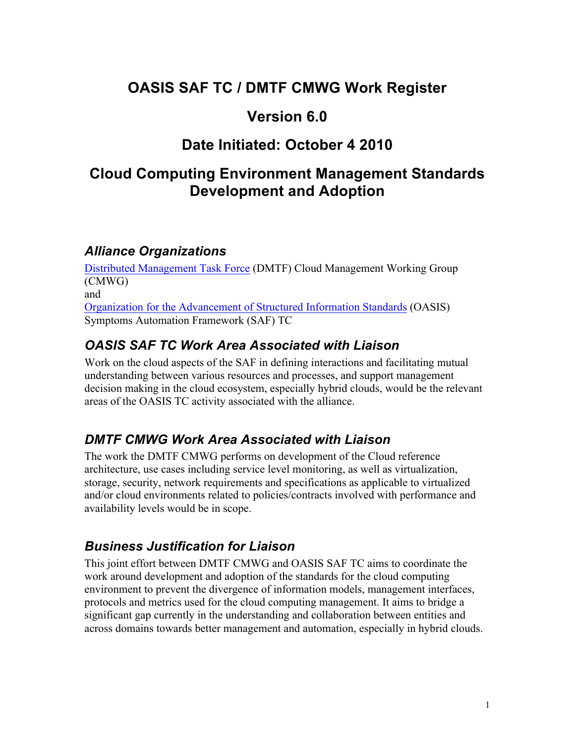## **OASIS SAF TC / DMTF CMWG Work Register**

### **Version 6.0**

# **Date Initiated: October 4 2010**

## **Cloud Computing Environment Management Standards Development and Adoption**

#### *Alliance Organizations*

Distributed Management Task Force (DMTF) Cloud Management Working Group (CMWG) and Organization for the Advancement of Structured Information Standards (OASIS) Symptoms Automation Framework (SAF) TC

### *OASIS SAF TC Work Area Associated with Liaison*

Work on the cloud aspects of the SAF in defining interactions and facilitating mutual understanding between various resources and processes, and support management decision making in the cloud ecosystem, especially hybrid clouds, would be the relevant areas of the OASIS TC activity associated with the alliance.

#### *DMTF CMWG Work Area Associated with Liaison*

The work the DMTF CMWG performs on development of the Cloud reference architecture, use cases including service level monitoring, as well as virtualization, storage, security, network requirements and specifications as applicable to virtualized and/or cloud environments related to policies/contracts involved with performance and availability levels would be in scope.

#### *Business Justification for Liaison*

This joint effort between DMTF CMWG and OASIS SAF TC aims to coordinate the work around development and adoption of the standards for the cloud computing environment to prevent the divergence of information models, management interfaces, protocols and metrics used for the cloud computing management. It aims to bridge a significant gap currently in the understanding and collaboration between entities and across domains towards better management and automation, especially in hybrid clouds.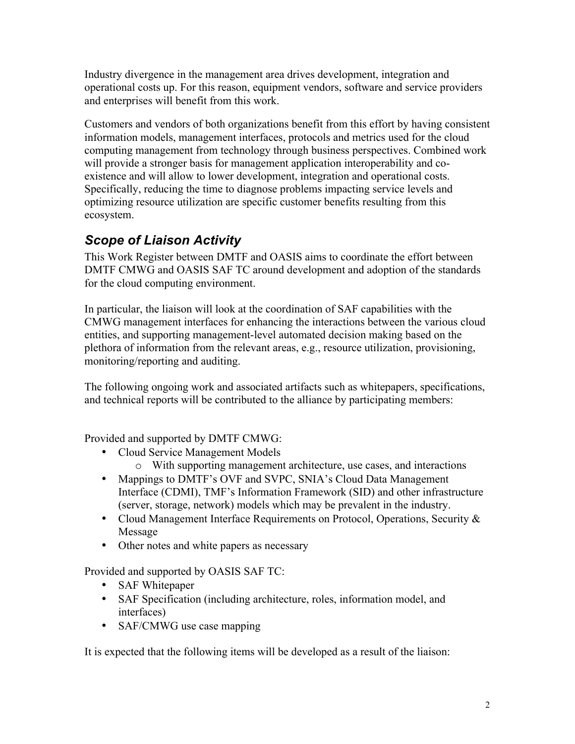Industry divergence in the management area drives development, integration and operational costs up. For this reason, equipment vendors, software and service providers and enterprises will benefit from this work.

Customers and vendors of both organizations benefit from this effort by having consistent information models, management interfaces, protocols and metrics used for the cloud computing management from technology through business perspectives. Combined work will provide a stronger basis for management application interoperability and coexistence and will allow to lower development, integration and operational costs. Specifically, reducing the time to diagnose problems impacting service levels and optimizing resource utilization are specific customer benefits resulting from this ecosystem.

### *Scope of Liaison Activity*

This Work Register between DMTF and OASIS aims to coordinate the effort between DMTF CMWG and OASIS SAF TC around development and adoption of the standards for the cloud computing environment.

In particular, the liaison will look at the coordination of SAF capabilities with the CMWG management interfaces for enhancing the interactions between the various cloud entities, and supporting management-level automated decision making based on the plethora of information from the relevant areas, e.g., resource utilization, provisioning, monitoring/reporting and auditing.

The following ongoing work and associated artifacts such as whitepapers, specifications, and technical reports will be contributed to the alliance by participating members:

Provided and supported by DMTF CMWG:

- Cloud Service Management Models
	- o With supporting management architecture, use cases, and interactions
- Mappings to DMTF's OVF and SVPC, SNIA's Cloud Data Management Interface (CDMI), TMF's Information Framework (SID) and other infrastructure (server, storage, network) models which may be prevalent in the industry.
- Cloud Management Interface Requirements on Protocol, Operations, Security & Message
- Other notes and white papers as necessary

Provided and supported by OASIS SAF TC:

- SAF Whitepaper
- SAF Specification (including architecture, roles, information model, and interfaces)
- SAF/CMWG use case mapping

It is expected that the following items will be developed as a result of the liaison: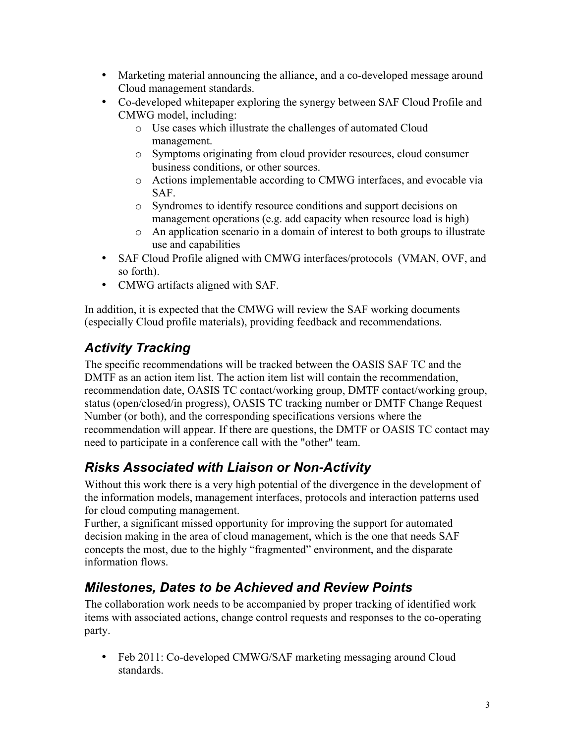- Marketing material announcing the alliance, and a co-developed message around Cloud management standards.
- Co-developed whitepaper exploring the synergy between SAF Cloud Profile and CMWG model, including:
	- o Use cases which illustrate the challenges of automated Cloud management.
	- o Symptoms originating from cloud provider resources, cloud consumer business conditions, or other sources.
	- o Actions implementable according to CMWG interfaces, and evocable via SAF.
	- o Syndromes to identify resource conditions and support decisions on management operations (e.g. add capacity when resource load is high)
	- o An application scenario in a domain of interest to both groups to illustrate use and capabilities
- SAF Cloud Profile aligned with CMWG interfaces/protocols (VMAN, OVF, and so forth).
- CMWG artifacts aligned with SAF.

In addition, it is expected that the CMWG will review the SAF working documents (especially Cloud profile materials), providing feedback and recommendations.

## *Activity Tracking*

The specific recommendations will be tracked between the OASIS SAF TC and the DMTF as an action item list. The action item list will contain the recommendation, recommendation date, OASIS TC contact/working group, DMTF contact/working group, status (open/closed/in progress), OASIS TC tracking number or DMTF Change Request Number (or both), and the corresponding specifications versions where the recommendation will appear. If there are questions, the DMTF or OASIS TC contact may need to participate in a conference call with the "other" team.

## *Risks Associated with Liaison or Non-Activity*

Without this work there is a very high potential of the divergence in the development of the information models, management interfaces, protocols and interaction patterns used for cloud computing management.

Further, a significant missed opportunity for improving the support for automated decision making in the area of cloud management, which is the one that needs SAF concepts the most, due to the highly "fragmented" environment, and the disparate information flows.

## *Milestones, Dates to be Achieved and Review Points*

The collaboration work needs to be accompanied by proper tracking of identified work items with associated actions, change control requests and responses to the co-operating party.

• Feb 2011: Co-developed CMWG/SAF marketing messaging around Cloud standards.